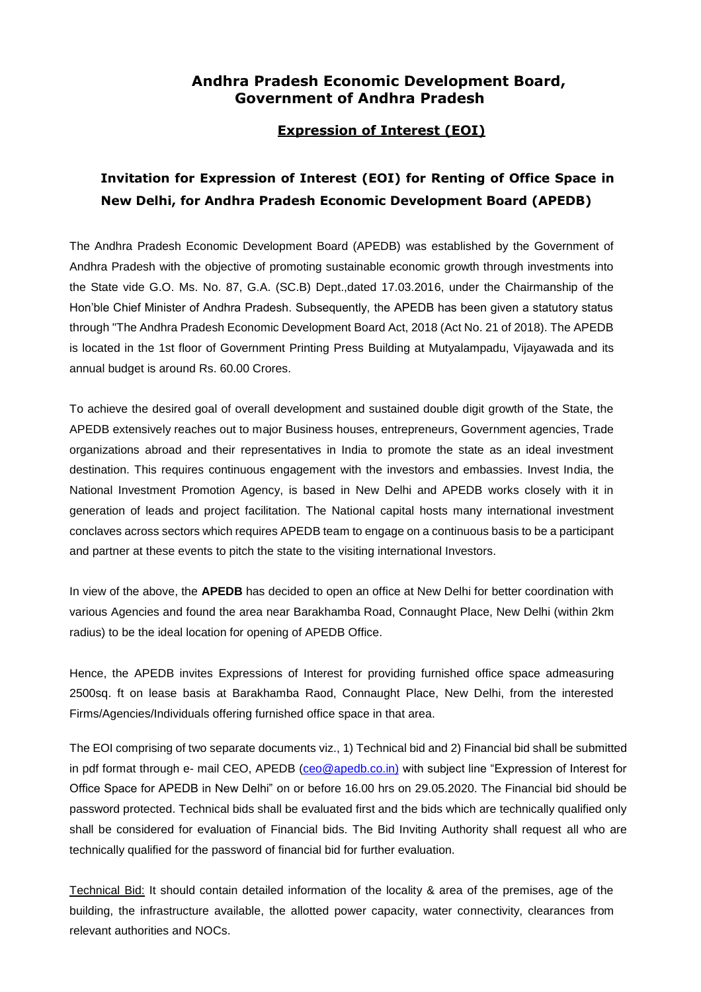# **Andhra Pradesh Economic Development Board, Government of Andhra Pradesh**

## **Expression of Interest (EOI)**

# **Invitation for Expression of Interest (EOI) for Renting of Office Space in New Delhi, for Andhra Pradesh Economic Development Board (APEDB)**

The Andhra Pradesh Economic Development Board (APEDB) was established by the Government of Andhra Pradesh with the objective of promoting sustainable economic growth through investments into the State vide G.O. Ms. No. 87, G.A. (SC.B) Dept.,dated 17.03.2016, under the Chairmanship of the Hon'ble Chief Minister of Andhra Pradesh. Subsequently, the APEDB has been given a statutory status through "The Andhra Pradesh Economic Development Board Act, 2018 (Act No. 21 of 2018). The APEDB is located in the 1st floor of Government Printing Press Building at Mutyalampadu, Vijayawada and its annual budget is around Rs. 60.00 Crores.

To achieve the desired goal of overall development and sustained double digit growth of the State, the APEDB extensively reaches out to major Business houses, entrepreneurs, Government agencies, Trade organizations abroad and their representatives in India to promote the state as an ideal investment destination. This requires continuous engagement with the investors and embassies. Invest India, the National Investment Promotion Agency, is based in New Delhi and APEDB works closely with it in generation of leads and project facilitation. The National capital hosts many international investment conclaves across sectors which requires APEDB team to engage on a continuous basis to be a participant and partner at these events to pitch the state to the visiting international Investors.

In view of the above, the **APEDB** has decided to open an office at New Delhi for better coordination with various Agencies and found the area near Barakhamba Road, Connaught Place, New Delhi (within 2km radius) to be the ideal location for opening of APEDB Office.

Hence, the APEDB invites Expressions of Interest for providing furnished office space admeasuring 2500sq. ft on lease basis at Barakhamba Raod, Connaught Place, New Delhi, from the interested Firms/Agencies/Individuals offering furnished office space in that area.

The EOI comprising of two separate documents viz., 1) Technical bid and 2) Financial bid shall be submitted in pdf format through e- mail CEO, APEDB [\(ceo@apedb.co.in\)](mailto:ceo@apedb.co.in) with subject line "Expression of Interest for Office Space for APEDB in New Delhi" on or before 16.00 hrs on 29.05.2020. The Financial bid should be password protected. Technical bids shall be evaluated first and the bids which are technically qualified only shall be considered for evaluation of Financial bids. The Bid Inviting Authority shall request all who are technically qualified for the password of financial bid for further evaluation.

Technical Bid: It should contain detailed information of the locality & area of the premises, age of the building, the infrastructure available, the allotted power capacity, water connectivity, clearances from relevant authorities and NOCs.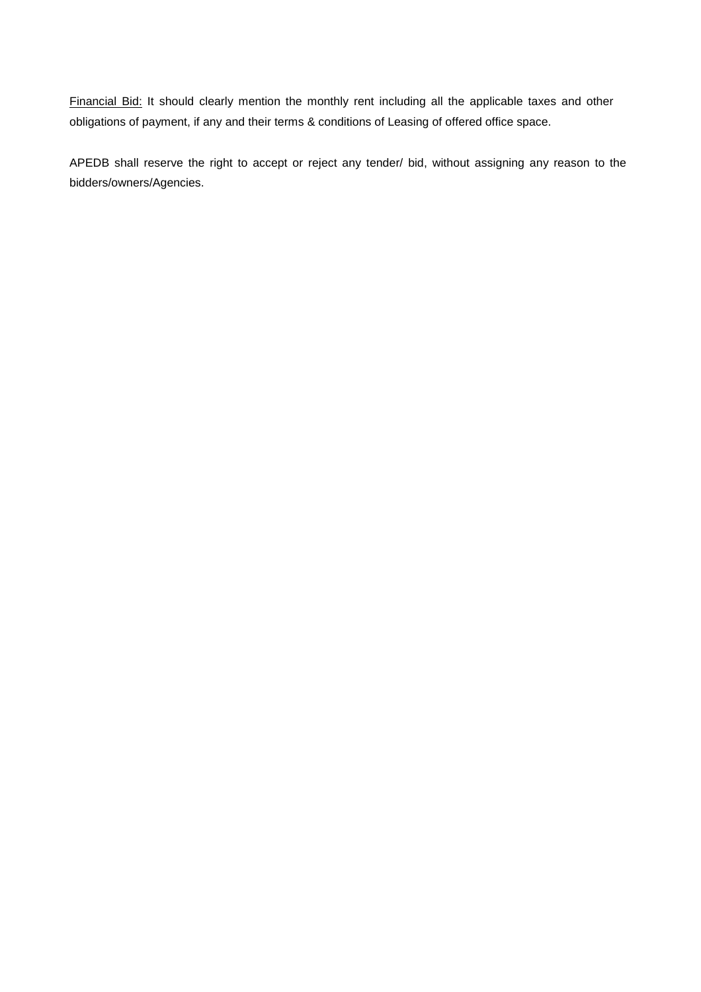Financial Bid: It should clearly mention the monthly rent including all the applicable taxes and other obligations of payment, if any and their terms & conditions of Leasing of offered office space.

APEDB shall reserve the right to accept or reject any tender/ bid, without assigning any reason to the bidders/owners/Agencies.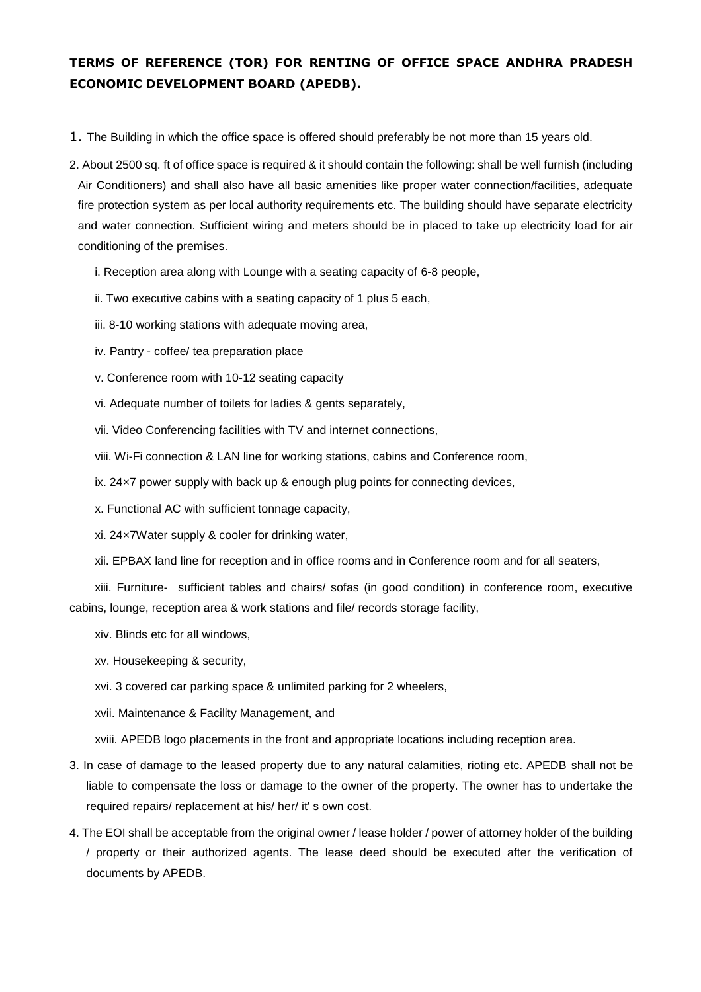# **TERMS OF REFERENCE (TOR) FOR RENTING OF OFFICE SPACE ANDHRA PRADESH ECONOMIC DEVELOPMENT BOARD (APEDB).**

- 1. The Building in which the office space is offered should preferably be not more than 15 years old.
- 2. About 2500 sq. ft of office space is required & it should contain the following: shall be well furnish (including Air Conditioners) and shall also have all basic amenities like proper water connection/facilities, adequate fire protection system as per local authority requirements etc. The building should have separate electricity and water connection. Sufficient wiring and meters should be in placed to take up electricity load for air conditioning of the premises.
	- i. Reception area along with Lounge with a seating capacity of 6-8 people,
	- ii. Two executive cabins with a seating capacity of 1 plus 5 each,
	- iii. 8-10 working stations with adequate moving area,
	- iv. Pantry coffee/ tea preparation place
	- v. Conference room with 10-12 seating capacity
	- vi. Adequate number of toilets for ladies & gents separately,
	- vii. Video Conferencing facilities with TV and internet connections,
	- viii. Wi-Fi connection & LAN line for working stations, cabins and Conference room,
	- ix. 24×7 power supply with back up & enough plug points for connecting devices,
	- x. Functional AC with sufficient tonnage capacity,
	- xi. 24×7Water supply & cooler for drinking water,
	- xii. EPBAX land line for reception and in office rooms and in Conference room and for all seaters,

xiii. Furniture- sufficient tables and chairs/ sofas (in good condition) in conference room, executive cabins, lounge, reception area & work stations and file/ records storage facility,

- xiv. Blinds etc for all windows,
- xv. Housekeeping & security,
- xvi. 3 covered car parking space & unlimited parking for 2 wheelers,
- xvii. Maintenance & Facility Management, and

xviii. APEDB logo placements in the front and appropriate locations including reception area.

- 3. In case of damage to the leased property due to any natural calamities, rioting etc. APEDB shall not be liable to compensate the loss or damage to the owner of the property. The owner has to undertake the required repairs/ replacement at his/ her/ it' s own cost.
- 4. The EOI shall be acceptable from the original owner / lease holder / power of attorney holder of the building / property or their authorized agents. The lease deed should be executed after the verification of documents by APEDB.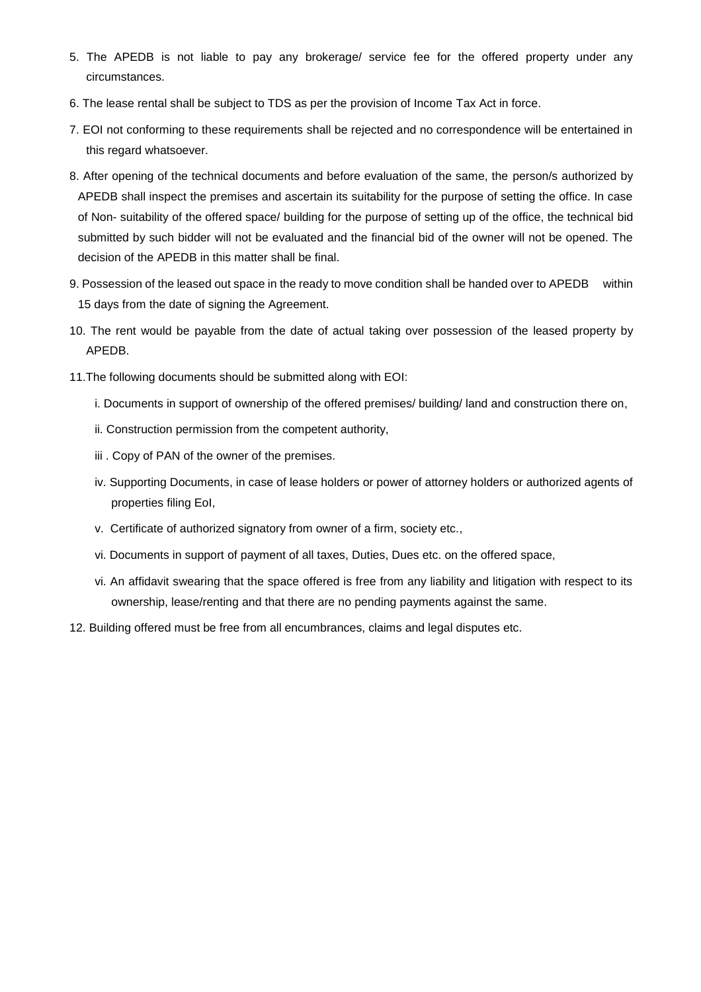- 5. The APEDB is not liable to pay any brokerage/ service fee for the offered property under any circumstances.
- 6. The lease rental shall be subject to TDS as per the provision of Income Tax Act in force.
- 7. EOI not conforming to these requirements shall be rejected and no correspondence will be entertained in this regard whatsoever.
- 8. After opening of the technical documents and before evaluation of the same, the person/s authorized by APEDB shall inspect the premises and ascertain its suitability for the purpose of setting the office. In case of Non- suitability of the offered space/ building for the purpose of setting up of the office, the technical bid submitted by such bidder will not be evaluated and the financial bid of the owner will not be opened. The decision of the APEDB in this matter shall be final.
- 9. Possession of the leased out space in the ready to move condition shall be handed over to APEDB within 15 days from the date of signing the Agreement.
- 10. The rent would be payable from the date of actual taking over possession of the leased property by APEDB.
- 11.The following documents should be submitted along with EOI:
	- i. Documents in support of ownership of the offered premises/ building/ land and construction there on,
	- ii. Construction permission from the competent authority,
	- iii . Copy of PAN of the owner of the premises.
	- iv. Supporting Documents, in case of lease holders or power of attorney holders or authorized agents of properties filing EoI,
	- v. Certificate of authorized signatory from owner of a firm, society etc.,
	- vi. Documents in support of payment of all taxes, Duties, Dues etc. on the offered space,
	- vi. An affidavit swearing that the space offered is free from any liability and litigation with respect to its ownership, lease/renting and that there are no pending payments against the same.
- 12. Building offered must be free from all encumbrances, claims and legal disputes etc.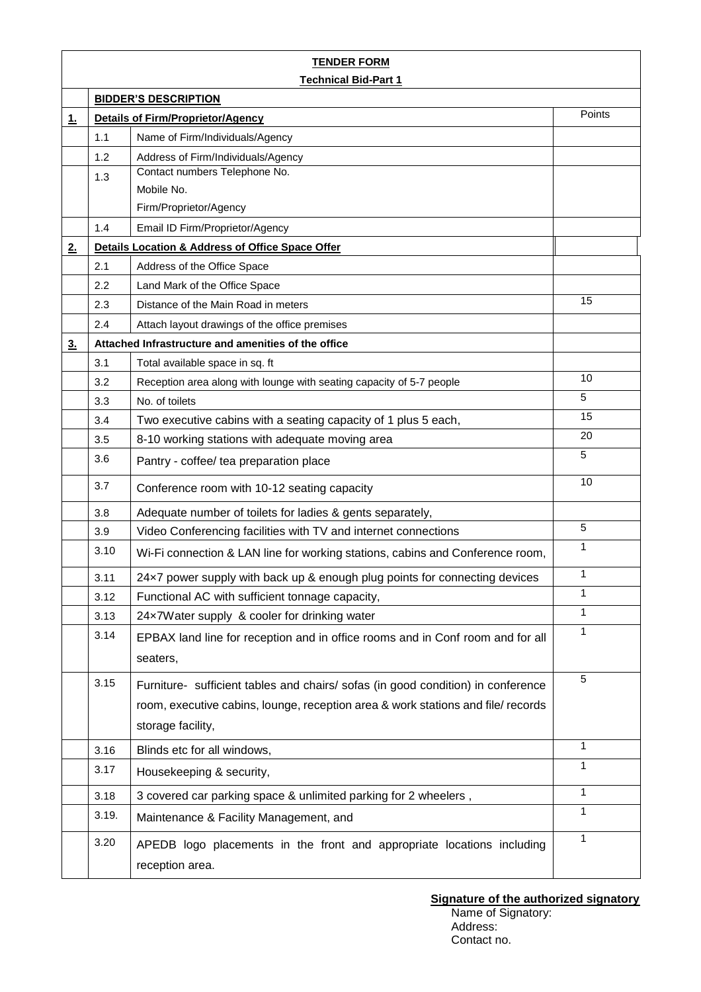| <b>TENDER FORM</b>          |                                                                                       |                                                                                                                                                                                           |                |  |  |
|-----------------------------|---------------------------------------------------------------------------------------|-------------------------------------------------------------------------------------------------------------------------------------------------------------------------------------------|----------------|--|--|
| <b>Technical Bid-Part 1</b> |                                                                                       |                                                                                                                                                                                           |                |  |  |
|                             | <b>BIDDER'S DESCRIPTION</b><br>Points<br><b>Details of Firm/Proprietor/Agency</b>     |                                                                                                                                                                                           |                |  |  |
| 1.                          | 1.1                                                                                   | Name of Firm/Individuals/Agency                                                                                                                                                           |                |  |  |
|                             | 1.2                                                                                   | Address of Firm/Individuals/Agency                                                                                                                                                        |                |  |  |
|                             | 1.3                                                                                   | Contact numbers Telephone No.                                                                                                                                                             |                |  |  |
|                             |                                                                                       | Mobile No.                                                                                                                                                                                |                |  |  |
|                             |                                                                                       | Firm/Proprietor/Agency                                                                                                                                                                    |                |  |  |
|                             | 1.4                                                                                   | Email ID Firm/Proprietor/Agency                                                                                                                                                           |                |  |  |
| 2.                          |                                                                                       | Details Location & Address of Office Space Offer                                                                                                                                          |                |  |  |
|                             | 2.1                                                                                   | Address of the Office Space                                                                                                                                                               |                |  |  |
|                             | 2.2                                                                                   | Land Mark of the Office Space                                                                                                                                                             |                |  |  |
|                             | 2.3                                                                                   | Distance of the Main Road in meters                                                                                                                                                       | 15             |  |  |
|                             | 2.4                                                                                   | Attach layout drawings of the office premises                                                                                                                                             |                |  |  |
| 3 <sub>1</sub>              | Attached Infrastructure and amenities of the office                                   |                                                                                                                                                                                           |                |  |  |
|                             | 3.1                                                                                   | Total available space in sq. ft                                                                                                                                                           |                |  |  |
|                             | 3.2                                                                                   | Reception area along with lounge with seating capacity of 5-7 people                                                                                                                      | 10             |  |  |
|                             | 3.3                                                                                   | No. of toilets                                                                                                                                                                            | 5              |  |  |
|                             | 3.4                                                                                   | Two executive cabins with a seating capacity of 1 plus 5 each,                                                                                                                            | 15             |  |  |
|                             | 3.5                                                                                   | 8-10 working stations with adequate moving area                                                                                                                                           | 20             |  |  |
|                             | 3.6                                                                                   | Pantry - coffee/ tea preparation place                                                                                                                                                    | 5              |  |  |
|                             | 3.7<br>Conference room with 10-12 seating capacity                                    |                                                                                                                                                                                           | 10             |  |  |
|                             | 3.8                                                                                   | Adequate number of toilets for ladies & gents separately,                                                                                                                                 |                |  |  |
|                             | Video Conferencing facilities with TV and internet connections<br>3.9                 |                                                                                                                                                                                           | $\overline{5}$ |  |  |
|                             | 3.10<br>Wi-Fi connection & LAN line for working stations, cabins and Conference room, |                                                                                                                                                                                           | 1              |  |  |
|                             | 3.11<br>24x7 power supply with back up & enough plug points for connecting devices    |                                                                                                                                                                                           | $\mathbf{1}$   |  |  |
| 3.12                        |                                                                                       | Functional AC with sufficient tonnage capacity,                                                                                                                                           | 1              |  |  |
|                             | 24x7Water supply & cooler for drinking water<br>3.13                                  |                                                                                                                                                                                           | $\mathbf{1}$   |  |  |
|                             | 3.14                                                                                  | EPBAX land line for reception and in office rooms and in Conf room and for all<br>seaters,                                                                                                | 1              |  |  |
|                             | 3.15                                                                                  | Furniture- sufficient tables and chairs/ sofas (in good condition) in conference<br>room, executive cabins, lounge, reception area & work stations and file/ records<br>storage facility, | 5              |  |  |
|                             | 3.16                                                                                  | Blinds etc for all windows,                                                                                                                                                               | $\mathbf{1}$   |  |  |
|                             | 3.17                                                                                  | Housekeeping & security,                                                                                                                                                                  | $\mathbf{1}$   |  |  |
|                             | 3.18                                                                                  | 3 covered car parking space & unlimited parking for 2 wheelers,                                                                                                                           | $\mathbf{1}$   |  |  |
|                             | 3.19.                                                                                 | Maintenance & Facility Management, and                                                                                                                                                    | $\mathbf{1}$   |  |  |
|                             | 3.20                                                                                  | APEDB logo placements in the front and appropriate locations including<br>reception area.                                                                                                 | 1              |  |  |

#### **Signature of the authorized signatory**

Name of Signatory: Address: Contact no.